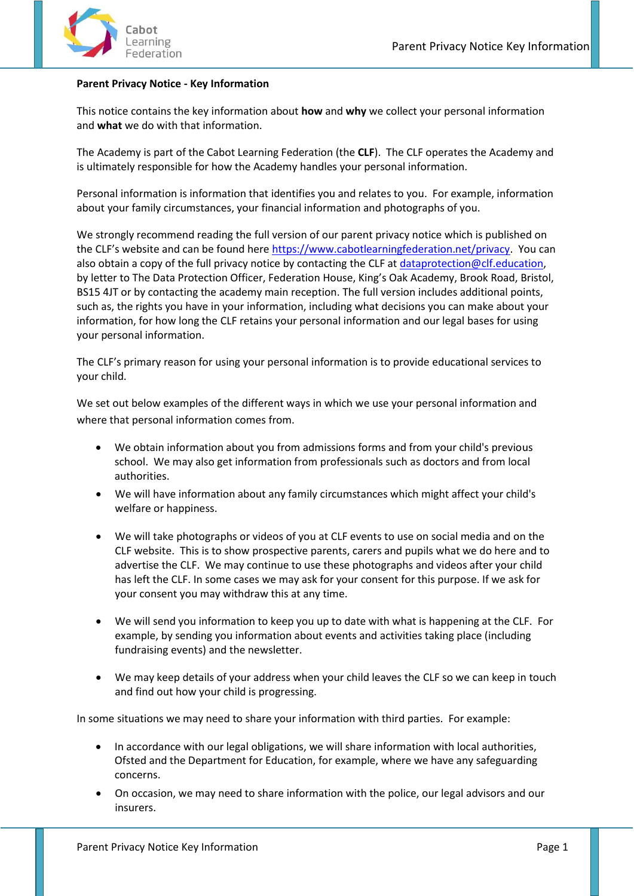

## **Parent Privacy Notice - Key Information**

This notice contains the key information about **how** and **why** we collect your personal information and **what** we do with that information.

The Academy is part of the Cabot Learning Federation (the **CLF**). The CLF operates the Academy and is ultimately responsible for how the Academy handles your personal information.

Personal information is information that identifies you and relates to you. For example, information about your family circumstances, your financial information and photographs of you.

We strongly recommend reading the full version of our parent privacy notice which is published on the CLF's website and can be found here [https://www.cabotlearningfederation.net/privacy.](https://www.cabotlearningfederation.net/privacy) You can also obtain a copy of the full privacy notice by contacting the CLF at [dataprotection@clf.education,](mailto:dataprotection@clf.education) by letter to The Data Protection Officer, Federation House, King's Oak Academy, Brook Road, Bristol, BS15 4JT or by contacting the academy main reception. The full version includes additional points, such as, the rights you have in your information, including what decisions you can make about your information, for how long the CLF retains your personal information and our legal bases for using your personal information.

The CLF's primary reason for using your personal information is to provide educational services to your child.

We set out below examples of the different ways in which we use your personal information and where that personal information comes from.

- We obtain information about you from admissions forms and from your child's previous school. We may also get information from professionals such as doctors and from local authorities.
- We will have information about any family circumstances which might affect your child's welfare or happiness.
- We will take photographs or videos of you at CLF events to use on social media and on the CLF website. This is to show prospective parents, carers and pupils what we do here and to advertise the CLF. We may continue to use these photographs and videos after your child has left the CLF. In some cases we may ask for your consent for this purpose. If we ask for your consent you may withdraw this at any time.
- We will send you information to keep you up to date with what is happening at the CLF. For example, by sending you information about events and activities taking place (including fundraising events) and the newsletter.
- We may keep details of your address when your child leaves the CLF so we can keep in touch and find out how your child is progressing.

In some situations we may need to share your information with third parties. For example:

- In accordance with our legal obligations, we will share information with local authorities, Ofsted and the Department for Education, for example, where we have any safeguarding concerns.
- On occasion, we may need to share information with the police, our legal advisors and our insurers.